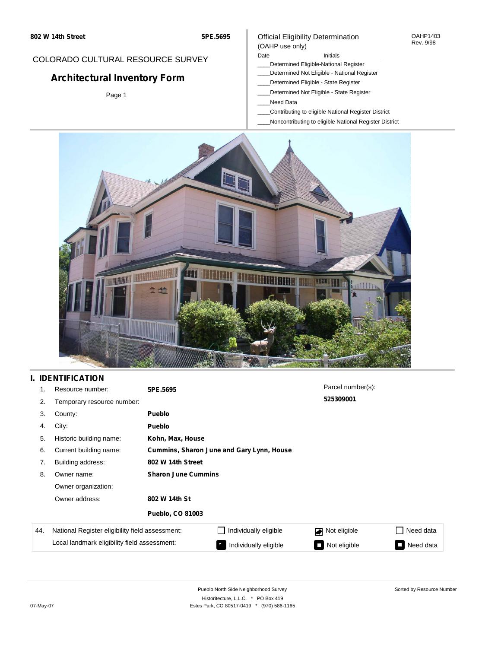## COLORADO CULTURAL RESOURCE SURVEY

# **Architectural Inventory Form**

Page 1

### Official Eligibility Determination (OAHP use only)

### Date **Initials** Initials

- \_\_\_\_Determined Eligible-National Register
- \_\_\_\_Determined Not Eligible National Register
- \_\_\_\_Determined Eligible State Register
- \_\_\_\_Determined Not Eligible State Register
- \_\_\_\_Need Data
- \_\_\_\_Contributing to eligible National Register District
- \_\_\_\_Noncontributing to eligible National Register District



## **I. IDENTIFICATION**

| 1.  | Resource number:                                | 5PE.5695                                  |                       | Parcel number(s): |           |  |  |
|-----|-------------------------------------------------|-------------------------------------------|-----------------------|-------------------|-----------|--|--|
| 2.  | Temporary resource number:                      |                                           |                       | 525309001         |           |  |  |
| 3.  | County:                                         | <b>Pueblo</b>                             |                       |                   |           |  |  |
| 4.  | City:                                           | <b>Pueblo</b>                             |                       |                   |           |  |  |
| 5.  | Historic building name:                         | Kohn, Max, House                          |                       |                   |           |  |  |
| 6.  | Current building name:                          | Cummins, Sharon June and Gary Lynn, House |                       |                   |           |  |  |
| 7.  | Building address:                               | 802 W 14th Street                         |                       |                   |           |  |  |
| 8.  | Owner name:                                     | <b>Sharon June Cummins</b>                |                       |                   |           |  |  |
|     | Owner organization:                             |                                           |                       |                   |           |  |  |
|     | Owner address:                                  | 802 W 14th St                             |                       |                   |           |  |  |
|     |                                                 | <b>Pueblo, CO 81003</b>                   |                       |                   |           |  |  |
| 44. | National Register eligibility field assessment: |                                           | Individually eligible | Not eligible<br>◪ | Need data |  |  |
|     | Local landmark eligibility field assessment:    |                                           | Individually eligible | Not eligible      | Need data |  |  |

OAHP1403 Rev. 9/98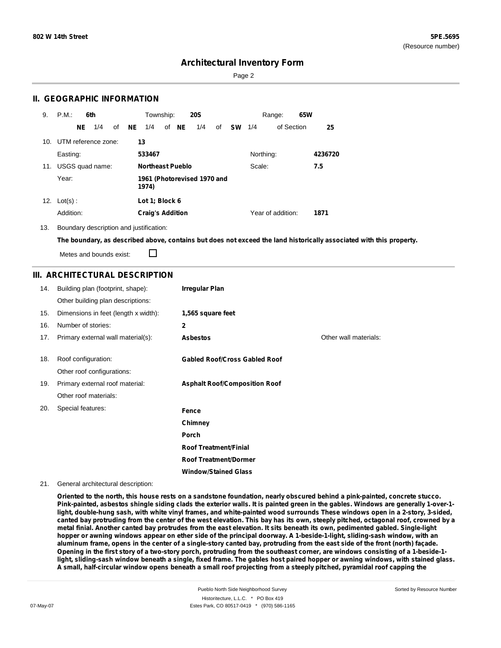Sorted by Resource Number

## **Architectural Inventory Form**

Page 2

### **II. GEOGRAPHIC INFORMATION**

| 9.              | P.M.       |    | 6th                 |    |           | Township:               |       | <b>20S</b>                  |    |           |           | Range:            | 65W |         |
|-----------------|------------|----|---------------------|----|-----------|-------------------------|-------|-----------------------------|----|-----------|-----------|-------------------|-----|---------|
|                 |            | NE | 1/4                 | of | <b>NE</b> | 1/4                     | of NE | 1/4                         | of | <b>SW</b> | 1/4       | of Section        |     | 25      |
| 10 <sub>1</sub> |            |    | UTM reference zone: |    |           | 13                      |       |                             |    |           |           |                   |     |         |
|                 | Easting:   |    |                     |    |           | 533467                  |       |                             |    |           | Northing: |                   |     | 4236720 |
| 11.             |            |    | USGS quad name:     |    |           | <b>Northeast Pueblo</b> |       |                             |    |           | Scale:    |                   |     | 7.5     |
|                 | Year:      |    |                     |    |           | 1974)                   |       | 1961 (Photorevised 1970 and |    |           |           |                   |     |         |
| 12.             | $Lot(s)$ : |    |                     |    |           | Lot 1; Block 6          |       |                             |    |           |           |                   |     |         |
|                 | Addition:  |    |                     |    |           | <b>Craig's Addition</b> |       |                             |    |           |           | Year of addition: |     | 1871    |

13. Boundary description and justification:

The boundary, as described above, contains but does not exceed the land historically associated with this property.

П Metes and bounds exist:

### **III. ARCHITECTURAL DESCRIPTION**

| 14. | Building plan (footprint, shape):    | <b>Irregular Plan</b>                |                       |
|-----|--------------------------------------|--------------------------------------|-----------------------|
|     | Other building plan descriptions:    |                                      |                       |
| 15. | Dimensions in feet (length x width): | 1,565 square feet                    |                       |
| 16. | Number of stories:                   | $\mathbf{2}$                         |                       |
| 17. | Primary external wall material(s):   | <b>Asbestos</b>                      | Other wall materials: |
|     |                                      |                                      |                       |
| 18. | Roof configuration:                  | <b>Gabled Roof/Cross Gabled Roof</b> |                       |
|     | Other roof configurations:           |                                      |                       |
| 19. | Primary external roof material:      | <b>Asphalt Roof/Composition Roof</b> |                       |
|     | Other roof materials:                |                                      |                       |
| 20. | Special features:                    | Fence                                |                       |
|     |                                      | Chimney                              |                       |
|     |                                      | Porch                                |                       |
|     |                                      | <b>Roof Treatment/Finial</b>         |                       |
|     |                                      | <b>Roof Treatment/Dormer</b>         |                       |
|     |                                      | <b>Window/Stained Glass</b>          |                       |

21. General architectural description:

Oriented to the north, this house rests on a sandstone foundation, nearly obscured behind a pink-painted, concrete stucco. Pink-painted, asbestos shingle siding clads the exterior walls. It is painted green in the gables. Windows are generally 1-over-1light, double-hung sash, with white vinyl frames, and white-painted wood surrounds These windows open in a 2-story, 3-sided, canted bay protruding from the center of the west elevation. This bay has its own, steeply pitched, octagonal roof, crowned by a metal finial. Another canted bay protrudes from the east elevation. It sits beneath its own, pedimented gabled. Single-light hopper or awning windows appear on ether side of the principal doorway. A 1-beside-1-light, sliding-sash window, with an aluminum frame, opens in the center of a single-story canted bay, protruding from the east side of the front (north) façade. Opening in the first story of a two-story porch, protruding from the southeast corner, are windows consisting of a 1-beside-1light, sliding-sash window beneath a single, fixed frame. The gables host paired hopper or awning windows, with stained glass. A small, half-circular window opens beneath a small roof projecting from a steeply pitched, pyramidal roof capping the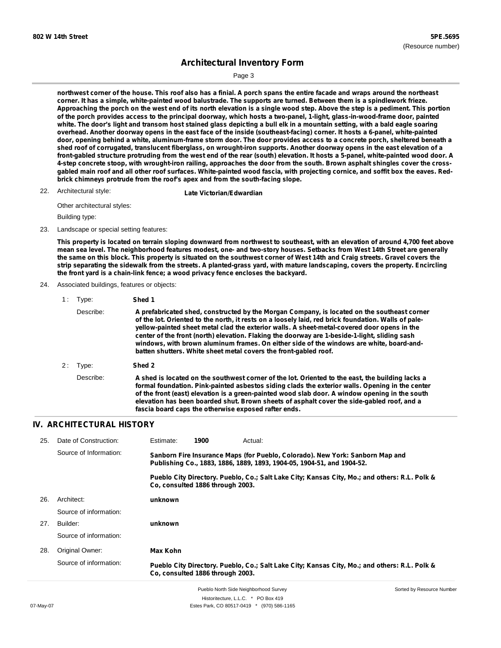Sorted by Resource Number

# **Architectural Inventory Form**

Page 3

northwest corner of the house. This roof also has a finial. A porch spans the entire facade and wraps around the northeast corner. It has a simple, white-painted wood balustrade. The supports are turned. Between them is a spindlework frieze. Approaching the porch on the west end of its north elevation is a single wood step. Above the step is a pediment. This portion of the porch provides access to the principal doorway, which hosts a two-panel, 1-light, glass-in-wood-frame door, painted white. The door's light and transom host stained glass depicting a bull elk in a mountain setting, with a bald eagle soaring overhead. Another doorway opens in the east face of the inside (southeast-facing) corner. It hosts a 6-panel, white-painted door, opening behind a white, aluminum-frame storm door. The door provides access to a concrete porch, sheltered beneath a shed roof of corrugated, translucent fiberglass, on wrought-iron supports. Another doorway opens in the east elevation of a front-gabled structure protruding from the west end of the rear (south) elevation. It hosts a 5-panel, white-painted wood door. A 4-step concrete stoop, with wrought-iron railing, approaches the door from the south. Brown asphalt shingles cover the crossgabled main roof and all other roof surfaces. White-painted wood fascia, with projecting cornice, and soffit box the eaves. Red**brick chimneys protrude from the roof's apex and from the south-facing slope.**

22. Architectural style: **Late Victorian/Edwardian** 

Other architectural styles:

Building type:

23. Landscape or special setting features:

This property is located on terrain sloping downward from northwest to southeast, with an elevation of around 4,700 feet above mean sea level. The neighborhood features modest, one- and two-story houses. Setbacks from West 14th Street are generally the same on this block. This property is situated on the southwest corner of West 14th and Craig streets. Gravel covers the strip separating the sidewalk from the streets. A planted-grass yard, with mature landscaping, covers the property. Encircling **the front yard is a chain-link fence; a wood privacy fence encloses the backyard.**

24. Associated buildings, features or objects:

| 1: | Type:                  | Shed 1                                                                                                                                                                                                                                                                                                                                                                                                                                                                                                                                                             |
|----|------------------------|--------------------------------------------------------------------------------------------------------------------------------------------------------------------------------------------------------------------------------------------------------------------------------------------------------------------------------------------------------------------------------------------------------------------------------------------------------------------------------------------------------------------------------------------------------------------|
|    | Describe:              | A prefabricated shed, constructed by the Morgan Company, is located on the southeast corner<br>of the lot. Oriented to the north, it rests on a loosely laid, red brick foundation. Walls of pale-<br>yellow-painted sheet metal clad the exterior walls. A sheet-metal-covered door opens in the<br>center of the front (north) elevation. Flaking the doorway are 1-beside-1-light, sliding sash<br>windows, with brown aluminum frames. On either side of the windows are white, board-and-<br>batten shutters. White sheet metal covers the front-gabled roof. |
| 2: | Type:                  | Shed 2                                                                                                                                                                                                                                                                                                                                                                                                                                                                                                                                                             |
|    | Describe:              | A shed is located on the southwest corner of the lot. Oriented to the east, the building lacks a<br>formal foundation. Pink-painted asbestos siding clads the exterior walls. Opening in the center<br>of the front (east) elevation is a green-painted wood slab door. A window opening in the south<br>elevation has been boarded shut. Brown sheets of asphalt cover the side-gabled roof, and a<br>fascia board caps the otherwise exposed rafter ends.                                                                                                        |
|    | ישודבריזווס גו שונדרוס |                                                                                                                                                                                                                                                                                                                                                                                                                                                                                                                                                                    |

## **IV. ARCHITECTURAL HISTORY**

| 25. | Date of Construction:  | Estimate:                                                                                                                                               | 1900                             | Actual:                                                                                       |  |
|-----|------------------------|---------------------------------------------------------------------------------------------------------------------------------------------------------|----------------------------------|-----------------------------------------------------------------------------------------------|--|
|     | Source of Information: | Sanborn Fire Insurance Maps (for Pueblo, Colorado). New York: Sanborn Map and<br>Publishing Co., 1883, 1886, 1889, 1893, 1904-05, 1904-51, and 1904-52. |                                  |                                                                                               |  |
|     |                        |                                                                                                                                                         | Co. consulted 1886 through 2003. | Pueblo City Directory. Pueblo, Co.; Salt Lake City; Kansas City, Mo.; and others: R.L. Polk & |  |
| 26. | Architect:             | unknown                                                                                                                                                 |                                  |                                                                                               |  |
|     | Source of information: |                                                                                                                                                         |                                  |                                                                                               |  |
| 27. | Builder:               | unknown                                                                                                                                                 |                                  |                                                                                               |  |
|     | Source of information: |                                                                                                                                                         |                                  |                                                                                               |  |
| 28. | Original Owner:        | Max Kohn                                                                                                                                                |                                  |                                                                                               |  |
|     | Source of information: |                                                                                                                                                         | Co. consulted 1886 through 2003. | Pueblo City Directory. Pueblo, Co.; Salt Lake City; Kansas City, Mo.; and others: R.L. Polk & |  |

Pueblo North Side Neighborhood Survey Historitecture, L.L.C. \* PO Box 419 07-May-07 **Estes Park, CO 80517-0419** \* (970) 586-1165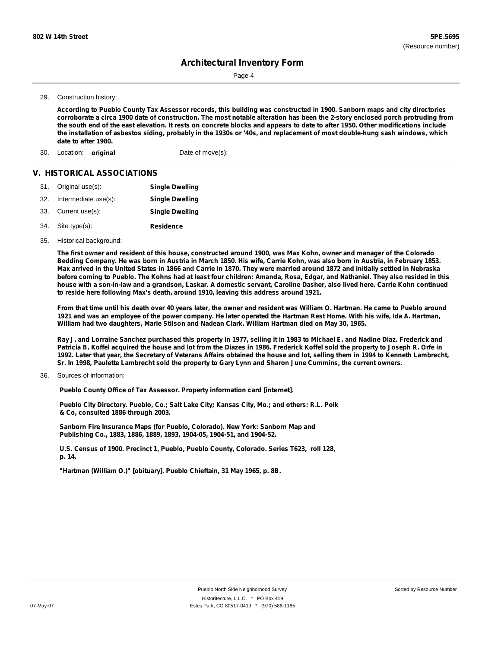Page 4

#### 29. Construction history:

According to Pueblo County Tax Assessor records, this building was constructed in 1900. Sanborn maps and city directories corroborate a circa 1900 date of construction. The most notable alteration has been the 2-story enclosed porch protruding from the south end of the east elevation. It rests on concrete blocks and appears to date to after 1950. Other modifications include the installation of asbestos siding, probably in the 1930s or '40s, and replacement of most double-hung sash windows, which **date to after 1980.**

30. Location: **original** Date of move(s):

#### **V. HISTORICAL ASSOCIATIONS**

|     | 31. Original use(s): | <b>Single Dwelling</b> |
|-----|----------------------|------------------------|
| 32. | Intermediate use(s): | <b>Single Dwelling</b> |
|     | 33. Current use(s):  | <b>Single Dwelling</b> |
|     | 34. Site type(s):    | <b>Residence</b>       |

35. Historical background:

The first owner and resident of this house, constructed around 1900, was Max Kohn, owner and manager of the Colorado Bedding Company. He was born in Austria in March 1850. His wife, Carrie Kohn, was also born in Austria, in February 1853. Max arrived in the United States in 1866 and Carrie in 1870. They were married around 1872 and initially settled in Nebraska before coming to Pueblo. The Kohns had at least four children: Amanda, Rosa, Edgar, and Nathaniel. They also resided in this house with a son-in-law and a grandson, Laskar. A domestic servant, Caroline Dasher, also lived here. Carrie Kohn continued **to reside here following Max's death, around 1910, leaving this address around 1921.**

From that time until his death over 40 years later, the owner and resident was William O. Hartman. He came to Pueblo around 1921 and was an employee of the power company. He later operated the Hartman Rest Home. With his wife, Ida A. Hartman, **William had two daughters, Marie Stilson and Nadean Clark. William Hartman died on May 30, 1965.**

Ray J. and Lorraine Sanchez purchased this property in 1977, selling it in 1983 to Michael E. and Nadine Diaz. Frederick and Patricia B. Koffel acquired the house and lot from the Diazes in 1986. Frederick Koffel sold the property to Joseph R. Orfe in 1992. Later that year, the Secretary of Veterans Affairs obtained the house and lot, selling them in 1994 to Kenneth Lambrecht, Sr. In 1998, Paulette Lambrecht sold the property to Gary Lynn and Sharon June Cummins, the current owners.

Sources of information: 36.

**Pueblo County Office of Tax Assessor. Property information card [internet].**

**Pueblo City Directory. Pueblo, Co.; Salt Lake City; Kansas City, Mo.; and others: R.L. Polk & Co, consulted 1886 through 2003.**

**Sanborn Fire Insurance Maps (for Pueblo, Colorado). New York: Sanborn Map and Publishing Co., 1883, 1886, 1889, 1893, 1904-05, 1904-51, and 1904-52.**

**U.S. Census of 1900. Precinct 1, Pueblo, Pueblo County, Colorado. Series T623, roll 128, p. 14.**

**"Hartman (William O.)" [obituary]. Pueblo Chieftain, 31 May 1965, p. 8B.**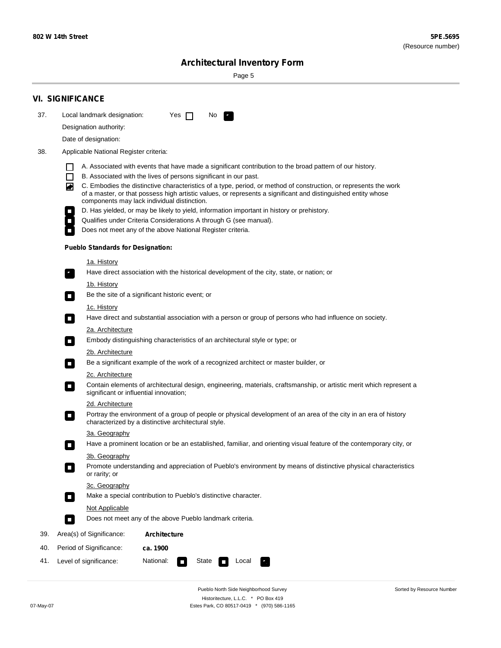÷

Sorted by Resource Number

# **Architectural Inventory Form**

Page 5

|            | <b>VI. SIGNIFICANCE</b>                                                                                                                                                                                                                                                                                                                                                                                                                                                                                                                                                                                                                                                                                                |  |  |  |  |  |  |
|------------|------------------------------------------------------------------------------------------------------------------------------------------------------------------------------------------------------------------------------------------------------------------------------------------------------------------------------------------------------------------------------------------------------------------------------------------------------------------------------------------------------------------------------------------------------------------------------------------------------------------------------------------------------------------------------------------------------------------------|--|--|--|--|--|--|
| 37.        | Local landmark designation:<br>Yes $\Box$<br>No.                                                                                                                                                                                                                                                                                                                                                                                                                                                                                                                                                                                                                                                                       |  |  |  |  |  |  |
|            | Designation authority:                                                                                                                                                                                                                                                                                                                                                                                                                                                                                                                                                                                                                                                                                                 |  |  |  |  |  |  |
|            | Date of designation:                                                                                                                                                                                                                                                                                                                                                                                                                                                                                                                                                                                                                                                                                                   |  |  |  |  |  |  |
| 38.        | Applicable National Register criteria:                                                                                                                                                                                                                                                                                                                                                                                                                                                                                                                                                                                                                                                                                 |  |  |  |  |  |  |
|            | A. Associated with events that have made a significant contribution to the broad pattern of our history.<br>l.<br>B. Associated with the lives of persons significant in our past.<br>$\Box$<br>C. Embodies the distinctive characteristics of a type, period, or method of construction, or represents the work<br>◙<br>of a master, or that possess high artistic values, or represents a significant and distinguished entity whose<br>components may lack individual distinction.<br>D. Has yielded, or may be likely to yield, information important in history or prehistory.<br>Qualifies under Criteria Considerations A through G (see manual).<br>Does not meet any of the above National Register criteria. |  |  |  |  |  |  |
|            | <b>Pueblo Standards for Designation:</b>                                                                                                                                                                                                                                                                                                                                                                                                                                                                                                                                                                                                                                                                               |  |  |  |  |  |  |
|            | 1a. History<br>Have direct association with the historical development of the city, state, or nation; or                                                                                                                                                                                                                                                                                                                                                                                                                                                                                                                                                                                                               |  |  |  |  |  |  |
|            | <u>1b. History</u><br>Be the site of a significant historic event; or<br>$\mathcal{L}_{\mathcal{A}}$                                                                                                                                                                                                                                                                                                                                                                                                                                                                                                                                                                                                                   |  |  |  |  |  |  |
|            | 1c. History<br>Have direct and substantial association with a person or group of persons who had influence on society.<br>$\blacksquare$                                                                                                                                                                                                                                                                                                                                                                                                                                                                                                                                                                               |  |  |  |  |  |  |
|            | 2a. Architecture<br>Embody distinguishing characteristics of an architectural style or type; or<br>$\overline{\phantom{a}}$                                                                                                                                                                                                                                                                                                                                                                                                                                                                                                                                                                                            |  |  |  |  |  |  |
|            | 2b. Architecture                                                                                                                                                                                                                                                                                                                                                                                                                                                                                                                                                                                                                                                                                                       |  |  |  |  |  |  |
|            | Be a significant example of the work of a recognized architect or master builder, or<br>$\sim$<br>2c. Architecture                                                                                                                                                                                                                                                                                                                                                                                                                                                                                                                                                                                                     |  |  |  |  |  |  |
|            |                                                                                                                                                                                                                                                                                                                                                                                                                                                                                                                                                                                                                                                                                                                        |  |  |  |  |  |  |
|            | Contain elements of architectural design, engineering, materials, craftsmanship, or artistic merit which represent a<br>О<br>significant or influential innovation;                                                                                                                                                                                                                                                                                                                                                                                                                                                                                                                                                    |  |  |  |  |  |  |
|            | 2d. Architecture                                                                                                                                                                                                                                                                                                                                                                                                                                                                                                                                                                                                                                                                                                       |  |  |  |  |  |  |
|            | Portray the environment of a group of people or physical development of an area of the city in an era of history<br>$\Box$<br>characterized by a distinctive architectural style.                                                                                                                                                                                                                                                                                                                                                                                                                                                                                                                                      |  |  |  |  |  |  |
|            | 3a. Geography                                                                                                                                                                                                                                                                                                                                                                                                                                                                                                                                                                                                                                                                                                          |  |  |  |  |  |  |
|            | Have a prominent location or be an established, familiar, and orienting visual feature of the contemporary city, or                                                                                                                                                                                                                                                                                                                                                                                                                                                                                                                                                                                                    |  |  |  |  |  |  |
|            | 3b. Geography<br>Promote understanding and appreciation of Pueblo's environment by means of distinctive physical characteristics<br>or rarity; or                                                                                                                                                                                                                                                                                                                                                                                                                                                                                                                                                                      |  |  |  |  |  |  |
|            | 3c. Geography                                                                                                                                                                                                                                                                                                                                                                                                                                                                                                                                                                                                                                                                                                          |  |  |  |  |  |  |
|            | Make a special contribution to Pueblo's distinctive character.<br>$\sim$                                                                                                                                                                                                                                                                                                                                                                                                                                                                                                                                                                                                                                               |  |  |  |  |  |  |
|            | Not Applicable<br>Does not meet any of the above Pueblo landmark criteria.<br>$\overline{\phantom{a}}$                                                                                                                                                                                                                                                                                                                                                                                                                                                                                                                                                                                                                 |  |  |  |  |  |  |
|            |                                                                                                                                                                                                                                                                                                                                                                                                                                                                                                                                                                                                                                                                                                                        |  |  |  |  |  |  |
| 39.        | Area(s) of Significance:<br><b>Architecture</b>                                                                                                                                                                                                                                                                                                                                                                                                                                                                                                                                                                                                                                                                        |  |  |  |  |  |  |
| 40.<br>41. | Period of Significance:<br>ca. 1900<br>National:<br>Level of significance:<br>State<br>Local                                                                                                                                                                                                                                                                                                                                                                                                                                                                                                                                                                                                                           |  |  |  |  |  |  |
|            | т,<br>П                                                                                                                                                                                                                                                                                                                                                                                                                                                                                                                                                                                                                                                                                                                |  |  |  |  |  |  |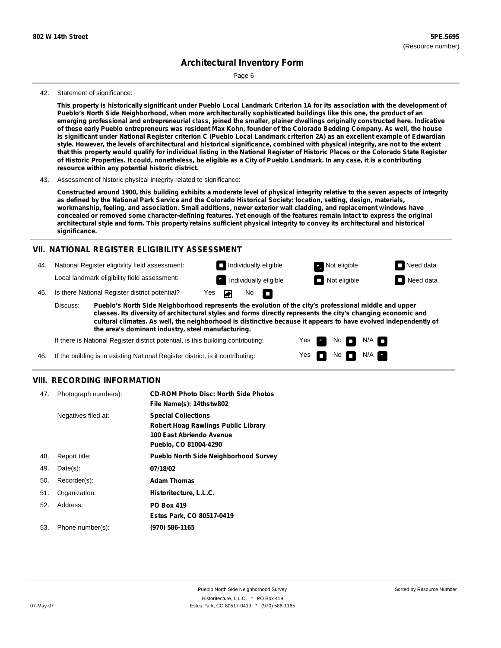Page 6

#### 42. Statement of significance:

This property is historically significant under Pueblo Local Landmark Criterion 1A for its association with the development of Pueblo's North Side Neighborhood, when more architecturally sophisticated buildings like this one, the product of an **emerging professional and entrepreneurial class, joined the smaller, plainer dwellings originally constructed here. Indicative** of these early Pueblo entrepreneurs was resident Max Kohn, founder of the Colorado Bedding Company. As well, the house is significant under National Register criterion C (Pueblo Local Landmark criterion 2A) as an excellent example of Edwardian style. However, the levels of architectural and historical significance, combined with physical integrity, are not to the extent that this property would qualify for individual listing in the National Register of Historic Places or the Colorado State Register of Historic Properties. It could, nonetheless, be eligible as a City of Pueblo Landmark. In any case, it is a contributing **resource within any potential historic district.**

43. Assessment of historic physical integrity related to significance:

Constructed around 1900, this building exhibits a moderate level of physical integrity relative to the seven aspects of integrity as defined by the National Park Service and the Colorado Historical Society: location, setting, design, materials, **workmanship, feeling, and association. Small additions, newer exterior wall cladding, and replacement windows have** concealed or removed some character-defining features. Yet enough of the features remain intact to express the original architectural style and form. This property retains sufficient physical integrity to convey its architectural and historical **significance.**

#### **VII. NATIONAL REGISTER ELIGIBILITY ASSESSMENT**



**classes. Its diversity of architectural styles and forms directly represents the city's changing economic and cultural climates. As well, the neighborhood is distinctive because it appears to have evolved independently of the area's dominant industry, steel manufacturing.**

> Yes Yes

No **D** N/A  $N$  No  $N/A$   $\blacksquare$ 

If there is National Register district potential, is this building contributing:

If the building is in existing National Register district, is it contributing: 46.

#### **VIII. RECORDING INFORMATION**

| 47. | Photograph numbers): | <b>CD-ROM Photo Disc: North Side Photos</b><br>File Name(s): 14thstw802                                                       |
|-----|----------------------|-------------------------------------------------------------------------------------------------------------------------------|
|     | Negatives filed at:  | <b>Special Collections</b><br><b>Robert Hoag Rawlings Public Library</b><br>100 East Abriendo Avenue<br>Pueblo, CO 81004-4290 |
| 48. | Report title:        | <b>Pueblo North Side Neighborhood Survey</b>                                                                                  |
| 49. | $Date(s)$ :          | 07/18/02                                                                                                                      |
| 50. | Recorder(s):         | <b>Adam Thomas</b>                                                                                                            |
| 51. | Organization:        | Historitecture, L.L.C.                                                                                                        |
| 52. | Address:             | <b>PO Box 419</b>                                                                                                             |
|     |                      | Estes Park, CO 80517-0419                                                                                                     |
| 53. | Phone number(s):     | (970) 586-1165                                                                                                                |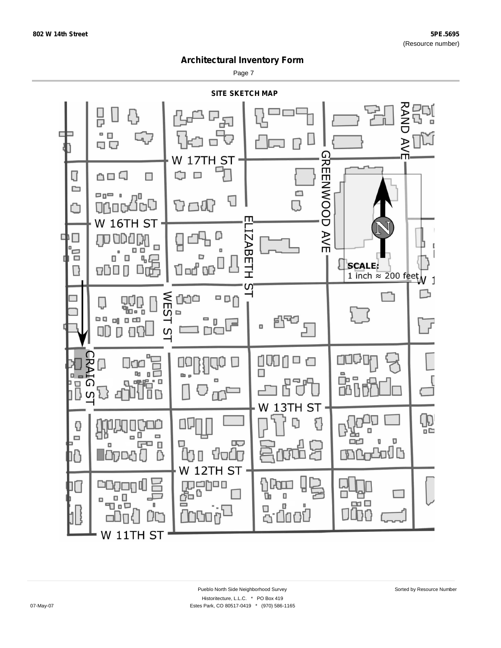Page 7